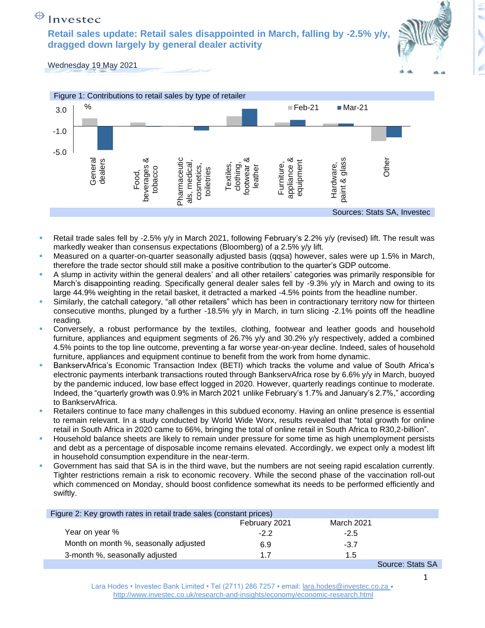## $\bigoplus$  Investec

**Retail sales update: Retail sales disappointed in March, falling by -2.5% y/y, dragged down largely by general dealer activity**



Wednesday 19 May 2021



- Retail trade sales fell by -2.5% y/y in March 2021, following February's 2.2% y/y (revised) lift. The result was markedly weaker than consensus expectations (Bloomberg) of a 2.5% y/y lift.
- Measured on a quarter-on-quarter seasonally adjusted basis (qqsa) however, sales were up 1.5% in March, therefore the trade sector should still make a positive contribution to the quarter's GDP outcome.
- A slump in activity within the general dealers' and all other retailers' categories was primarily responsible for March's disappointing reading. Specifically general dealer sales fell by -9.3% y/y in March and owing to its large 44.9% weighting in the retail basket, it detracted a marked -4.5% points from the headline number.
- Similarly, the catchall category, "all other retailers" which has been in contractionary territory now for thirteen consecutive months, plunged by a further -18.5% y/y in March, in turn slicing -2.1% points off the headline reading.
- Conversely, a robust performance by the textiles, clothing, footwear and leather goods and household furniture, appliances and equipment segments of 26.7% y/y and 30.2% y/y respectively, added a combined 4.5% points to the top line outcome, preventing a far worse year-on-year decline. Indeed, sales of household furniture, appliances and equipment continue to benefit from the work from home dynamic.
- BankservAfrica's Economic Transaction Index (BETI) which tracks the volume and value of South Africa's electronic payments interbank transactions routed through BankservAfrica rose by 6.6% y/y in March, buoyed by the pandemic induced, low base effect logged in 2020. However, quarterly readings continue to moderate. Indeed, the "quarterly growth was 0.9% in March 2021 unlike February's 1.7% and January's 2.7%," according to BankservAfrica.
- Retailers continue to face many challenges in this subdued economy. Having an online presence is essential to remain relevant. In a study conducted by World Wide Worx, results revealed that "total growth for online retail in South Africa in 2020 came to 66%, bringing the total of online retail in South Africa to R30,2-billion".
- Household balance sheets are likely to remain under pressure for some time as high unemployment persists and debt as a percentage of disposable income remains elevated. Accordingly, we expect only a modest lift in household consumption expenditure in the near-term.
- Government has said that SA is in the third wave, but the numbers are not seeing rapid escalation currently. Tighter restrictions remain a risk to economic recovery. While the second phase of the vaccination roll-out which commenced on Monday, should boost confidence somewhat its needs to be performed efficiently and swiftly.

| Figure 2: Key growth rates in retail trade sales (constant prices) |               |            |                                                        |
|--------------------------------------------------------------------|---------------|------------|--------------------------------------------------------|
|                                                                    | February 2021 | March 2021 |                                                        |
| Year on year %                                                     | $-2.2$        | $-2.5$     |                                                        |
| Month on month %, seasonally adjusted                              | 6.9           | $-3.7$     |                                                        |
| 3-month %, seasonally adjusted                                     | 17            | 1.5        |                                                        |
|                                                                    |               |            | $C_{\text{AllROM}}$ $C_{\text{Intra}}$ $C_{\text{Al}}$ |

Source: Stats SA

Lara Hodes • Investec Bank Limited • Tel (2711) 286 7257 • email: [lara.hodes@investec.co.za](mailto:lara.hodes@investec.co.za) • <http://www.investec.co.uk/research-and-insights/economy/economic-research.html>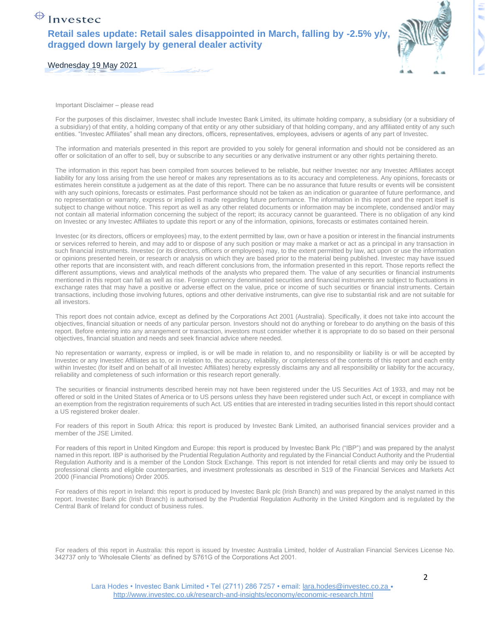## $\bigoplus$  Investec

**Retail sales update: Retail sales disappointed in March, falling by -2.5% y/y, dragged down largely by general dealer activity**



Wednesday 19 May 2021

Important Disclaimer – please read

For the purposes of this disclaimer, Investec shall include Investec Bank Limited, its ultimate holding company, a subsidiary (or a subsidiary of a subsidiary) of that entity, a holding company of that entity or any other subsidiary of that holding company, and any affiliated entity of any such entities. "Investec Affiliates" shall mean any directors, officers, representatives, employees, advisers or agents of any part of Investec.

The information and materials presented in this report are provided to you solely for general information and should not be considered as an offer or solicitation of an offer to sell, buy or subscribe to any securities or any derivative instrument or any other rights pertaining thereto.

The information in this report has been compiled from sources believed to be reliable, but neither Investec nor any Investec Affiliates accept liability for any loss arising from the use hereof or makes any representations as to its accuracy and completeness. Any opinions, forecasts or estimates herein constitute a judgement as at the date of this report. There can be no assurance that future results or events will be consistent with any such opinions, forecasts or estimates. Past performance should not be taken as an indication or guarantee of future performance, and no representation or warranty, express or implied is made regarding future performance. The information in this report and the report itself is subject to change without notice. This report as well as any other related documents or information may be incomplete, condensed and/or may not contain all material information concerning the subject of the report; its accuracy cannot be guaranteed. There is no obligation of any kind on Investec or any Investec Affiliates to update this report or any of the information, opinions, forecasts or estimates contained herein.

Investec (or its directors, officers or employees) may, to the extent permitted by law, own or have a position or interest in the financial instruments or services referred to herein, and may add to or dispose of any such position or may make a market or act as a principal in any transaction in such financial instruments. Investec (or its directors, officers or employees) may, to the extent permitted by law, act upon or use the information or opinions presented herein, or research or analysis on which they are based prior to the material being published. Investec may have issued other reports that are inconsistent with, and reach different conclusions from, the information presented in this report. Those reports reflect the different assumptions, views and analytical methods of the analysts who prepared them. The value of any securities or financial instruments mentioned in this report can fall as well as rise. Foreign currency denominated securities and financial instruments are subject to fluctuations in exchange rates that may have a positive or adverse effect on the value, price or income of such securities or financial instruments. Certain transactions, including those involving futures, options and other derivative instruments, can give rise to substantial risk and are not suitable for all investors.

This report does not contain advice, except as defined by the Corporations Act 2001 (Australia). Specifically, it does not take into account the objectives, financial situation or needs of any particular person. Investors should not do anything or forebear to do anything on the basis of this report. Before entering into any arrangement or transaction, investors must consider whether it is appropriate to do so based on their personal objectives, financial situation and needs and seek financial advice where needed.

No representation or warranty, express or implied, is or will be made in relation to, and no responsibility or liability is or will be accepted by Investec or any Investec Affiliates as to, or in relation to, the accuracy, reliability, or completeness of the contents of this report and each entity within Investec (for itself and on behalf of all Investec Affiliates) hereby expressly disclaims any and all responsibility or liability for the accuracy, reliability and completeness of such information or this research report generally.

The securities or financial instruments described herein may not have been registered under the US Securities Act of 1933, and may not be offered or sold in the United States of America or to US persons unless they have been registered under such Act, or except in compliance with an exemption from the registration requirements of such Act. US entities that are interested in trading securities listed in this report should contact a US registered broker dealer.

For readers of this report in South Africa: this report is produced by Investec Bank Limited, an authorised financial services provider and a member of the JSE Limited.

For readers of this report in United Kingdom and Europe: this report is produced by Investec Bank Plc ("IBP") and was prepared by the analyst named in this report. IBP is authorised by the Prudential Regulation Authority and regulated by the Financial Conduct Authority and the Prudential Regulation Authority and is a member of the London Stock Exchange. This report is not intended for retail clients and may only be issued to professional clients and eligible counterparties, and investment professionals as described in S19 of the Financial Services and Markets Act 2000 (Financial Promotions) Order 2005.

For readers of this report in Ireland: this report is produced by Investec Bank plc (Irish Branch) and was prepared by the analyst named in this report. Investec Bank plc (Irish Branch) is authorised by the Prudential Regulation Authority in the United Kingdom and is regulated by the Central Bank of Ireland for conduct of business rules.

For readers of this report in Australia: this report is issued by Investec Australia Limited, holder of Australian Financial Services License No. 342737 only to 'Wholesale Clients' as defined by S761G of the Corporations Act 2001.